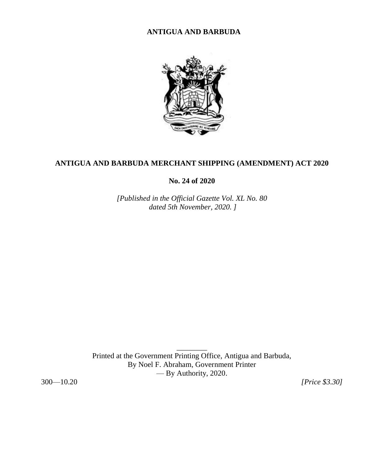#### **ANTIGUA AND BARBUDA**



# **ANTIGUA AND BARBUDA MERCHANT SHIPPING (AMENDMENT) ACT 2020**

**No. 24 of 2020**

*[Published in the Official Gazette Vol. XL No. 80 dated 5th November, 2020. ]* 

Printed at the Government Printing Office, Antigua and Barbuda, By Noel F. Abraham, Government Printer — By Authority, 2020.

 $\overline{\phantom{a}}$ 

300—10.20 *[Price \$3.30]*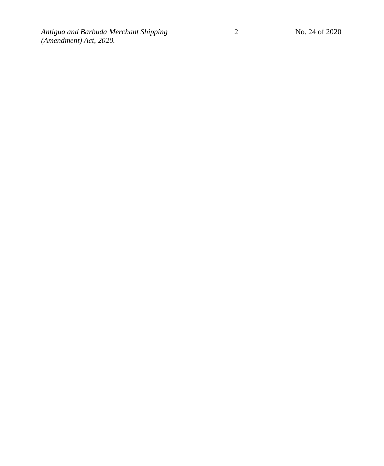*Antigua and Barbuda Merchant Shipping (Amendment) Act, 2020.*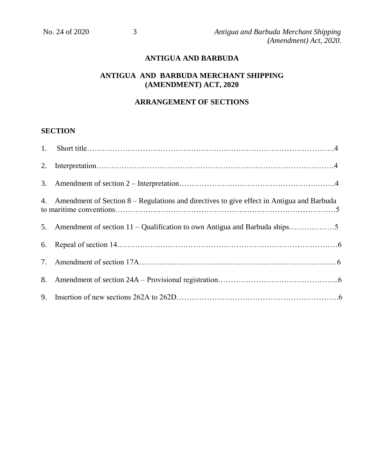# **ANTIGUA AND BARBUDA**

#### **ANTIGUA AND BARBUDA MERCHANT SHIPPING (AMENDMENT) ACT, 2020**

## **ARRANGEMENT OF SECTIONS**

#### **SECTION**

| 4. Amendment of Section 8 – Regulations and directives to give effect in Antigua and Barbuda |  |
|----------------------------------------------------------------------------------------------|--|
|                                                                                              |  |
|                                                                                              |  |
|                                                                                              |  |
|                                                                                              |  |
|                                                                                              |  |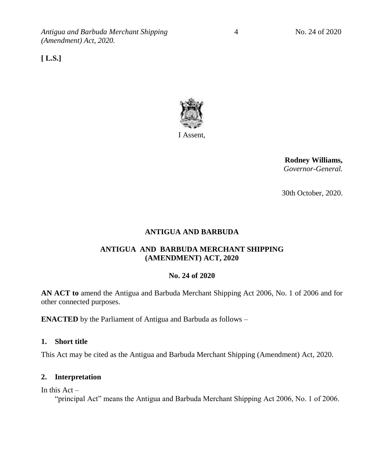*Antigua and Barbuda Merchant Shipping*  $\begin{array}{ccc} 4 & 4 \end{array}$  No. 24 of 2020 *(Amendment) Act, 2020.*

**[ L.S.]**



I Assent,

**Rodney Williams,** *Governor-General.*

30th October, 2020.

## **ANTIGUA AND BARBUDA**

## **ANTIGUA AND BARBUDA MERCHANT SHIPPING (AMENDMENT) ACT, 2020**

## **No. 24 of 2020**

**AN ACT to** amend the Antigua and Barbuda Merchant Shipping Act 2006, No. 1 of 2006 and for other connected purposes.

**ENACTED** by the Parliament of Antigua and Barbuda as follows –

## **1. Short title**

This Act may be cited as the Antigua and Barbuda Merchant Shipping (Amendment) Act, 2020.

## **2. Interpretation**

In this  $Act -$ 

"principal Act" means the Antigua and Barbuda Merchant Shipping Act 2006, No. 1 of 2006.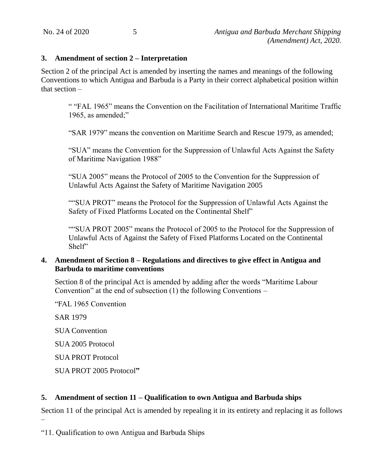## **3. Amendment of section 2 – Interpretation**

Section 2 of the principal Act is amended by inserting the names and meanings of the following Conventions to which Antigua and Barbuda is a Party in their correct alphabetical position within that section –

" "FAL 1965" means the Convention on the Facilitation of International Maritime Traffic 1965, as amended;"

"SAR 1979" means the convention on Maritime Search and Rescue 1979, as amended;

"SUA" means the Convention for the Suppression of Unlawful Acts Against the Safety of Maritime Navigation 1988"

"SUA 2005" means the Protocol of 2005 to the Convention for the Suppression of Unlawful Acts Against the Safety of Maritime Navigation 2005

""SUA PROT" means the Protocol for the Suppression of Unlawful Acts Against the Safety of Fixed Platforms Located on the Continental Shelf"

""SUA PROT 2005" means the Protocol of 2005 to the Protocol for the Suppression of Unlawful Acts of Against the Safety of Fixed Platforms Located on the Continental Shelf"

#### **4. Amendment of Section 8 – Regulations and directives to give effect in Antigua and Barbuda to maritime conventions**

Section 8 of the principal Act is amended by adding after the words "Maritime Labour Convention" at the end of subsection (1) the following Conventions –

"FAL 1965 Convention SAR 1979 SUA Convention SUA 2005 Protocol SUA PROT Protocol SUA PROT 2005 Protocol**"**

–

# **5. Amendment of section 11 – Qualification to own Antigua and Barbuda ships**

Section 11 of the principal Act is amended by repealing it in its entirety and replacing it as follows

"11. Qualification to own Antigua and Barbuda Ships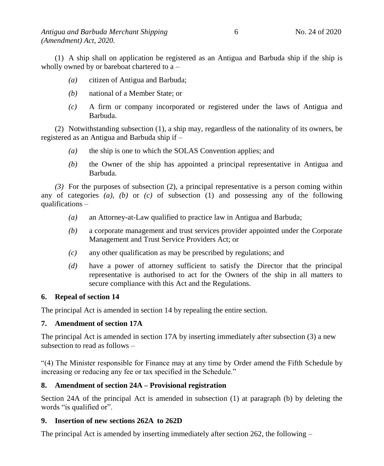(1) A ship shall on application be registered as an Antigua and Barbuda ship if the ship is wholly owned by or bareboat chartered to a –

- *(a)* citizen of Antigua and Barbuda;
- *(b)* national of a Member State; or
- *(c)* A firm or company incorporated or registered under the laws of Antigua and Barbuda.

(2) Notwithstanding subsection (1), a ship may, regardless of the nationality of its owners, be registered as an Antigua and Barbuda ship if –

- *(a)* the ship is one to which the SOLAS Convention applies; and
- *(b)* the Owner of the ship has appointed a principal representative in Antigua and Barbuda.

*(3)* For the purposes of subsection (2), a principal representative is a person coming within any of categories *(a), (b)* or *(c)* of subsection (1) and possessing any of the following qualifications –

- *(a)* an Attorney-at-Law qualified to practice law in Antigua and Barbuda;
- *(b)* a corporate management and trust services provider appointed under the Corporate Management and Trust Service Providers Act; or
- *(c)* any other qualification as may be prescribed by regulations; and
- *(d)* have a power of attorney sufficient to satisfy the Director that the principal representative is authorised to act for the Owners of the ship in all matters to secure compliance with this Act and the Regulations.

#### **6. Repeal of section 14**

The principal Act is amended in section 14 by repealing the entire section.

#### **7. Amendment of section 17A**

The principal Act is amended in section 17A by inserting immediately after subsection (3) a new subsection to read as follows –

"(4) The Minister responsible for Finance may at any time by Order amend the Fifth Schedule by increasing or reducing any fee or tax specified in the Schedule."

## **8. Amendment of section 24A – Provisional registration**

Section 24A of the principal Act is amended in subsection (1) at paragraph (b) by deleting the words "is qualified or".

## **9. Insertion of new sections 262A to 262D**

The principal Act is amended by inserting immediately after section 262, the following –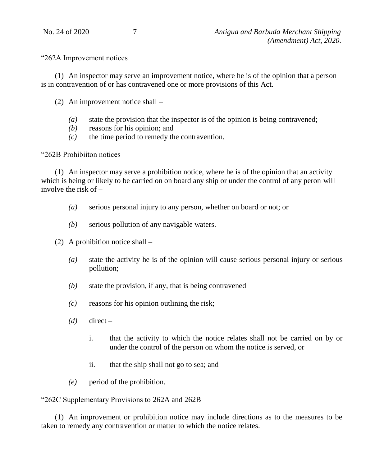"262A Improvement notices

(1) An inspector may serve an improvement notice, where he is of the opinion that a person is in contravention of or has contravened one or more provisions of this Act.

(2) An improvement notice shall –

- *(a)* state the provision that the inspector is of the opinion is being contravened;
- *(b)* reasons for his opinion; and
- *(c)* the time period to remedy the contravention.

"262B Prohibiiton notices

(1) An inspector may serve a prohibition notice, where he is of the opinion that an activity which is being or likely to be carried on on board any ship or under the control of any peron will involve the risk of –

- *(a)* serious personal injury to any person, whether on board or not; or
- *(b)* serious pollution of any navigable waters.
- (2) A prohibition notice shall
	- *(a)* state the activity he is of the opinion will cause serious personal injury or serious pollution;
	- *(b)* state the provision, if any, that is being contravened
	- *(c)* reasons for his opinion outlining the risk;
	- *(d)* direct
		- i. that the activity to which the notice relates shall not be carried on by or under the control of the person on whom the notice is served, or
		- ii. that the ship shall not go to sea; and
	- *(e)* period of the prohibition.

"262C Supplementary Provisions to 262A and 262B

(1) An improvement or prohibition notice may include directions as to the measures to be taken to remedy any contravention or matter to which the notice relates.